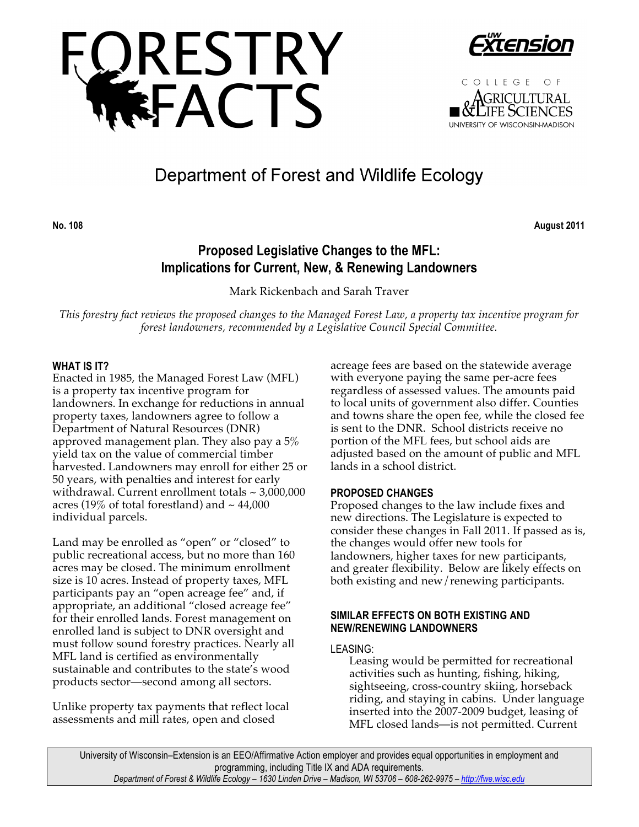



COLLEGE OF **GRICULTURAL** JIFE SCIENCES UNIVERSITY OF WISCONSIN-MADISON

# Department of Forest and Wildlife Ecology

**No. 108 August 2011**

# **Proposed Legislative Changes to the MFL: Implications for Current, New, & Renewing Landowners**

Mark Rickenbach and Sarah Traver

*This forestry fact reviews the proposed changes to the Managed Forest Law, a property tax incentive program for forest landowners, recommended by a Legislative Council Special Committee.*

# **WHAT IS IT?**

Enacted in 1985, the Managed Forest Law (MFL) is a property tax incentive program for landowners. In exchange for reductions in annual property taxes, landowners agree to follow a Department of Natural Resources (DNR) approved management plan. They also pay a 5% yield tax on the value of commercial timber harvested. Landowners may enroll for either 25 or 50 years, with penalties and interest for early withdrawal. Current enrollment totals  $\sim$  3,000,000 acres (19% of total forestland) and  $\sim$  44,000 individual parcels.

Land may be enrolled as "open" or "closed" to public recreational access, but no more than 160 acres may be closed. The minimum enrollment size is 10 acres. Instead of property taxes, MFL participants pay an "open acreage fee" and, if appropriate, an additional "closed acreage fee" for their enrolled lands. Forest management on enrolled land is subject to DNR oversight and must follow sound forestry practices. Nearly all MFL land is certified as environmentally sustainable and contributes to the state's wood products sector—second among all sectors.

Unlike property tax payments that reflect local assessments and mill rates, open and closed

acreage fees are based on the statewide average with everyone paying the same per-acre fees regardless of assessed values. The amounts paid to local units of government also differ. Counties and towns share the open fee, while the closed fee is sent to the DNR. School districts receive no portion of the MFL fees, but school aids are adjusted based on the amount of public and MFL lands in a school district.

# **PROPOSED CHANGES**

Proposed changes to the law include fixes and new directions. The Legislature is expected to consider these changes in Fall 2011. If passed as is, the changes would offer new tools for landowners, higher taxes for new participants, and greater flexibility. Below are likely effects on both existing and new/renewing participants.

# **SIMILAR EFFECTS ON BOTH EXISTING AND NEW/RENEWING LANDOWNERS**

# LEASING:

Leasing would be permitted for recreational activities such as hunting, fishing, hiking, sightseeing, cross-country skiing, horseback riding, and staying in cabins. Under language inserted into the 2007-2009 budget, leasing of MFL closed lands—is not permitted. Current

University of Wisconsin–Extension is an EEO/Affirmative Action employer and provides equal opportunities in employment and programming, including Title IX and ADA requirements. *Department of Forest & Wildlife Ecology – 1630 Linden Drive – Madison, WI 53706 – 608-262-9975 – http://fwe.wisc.edu*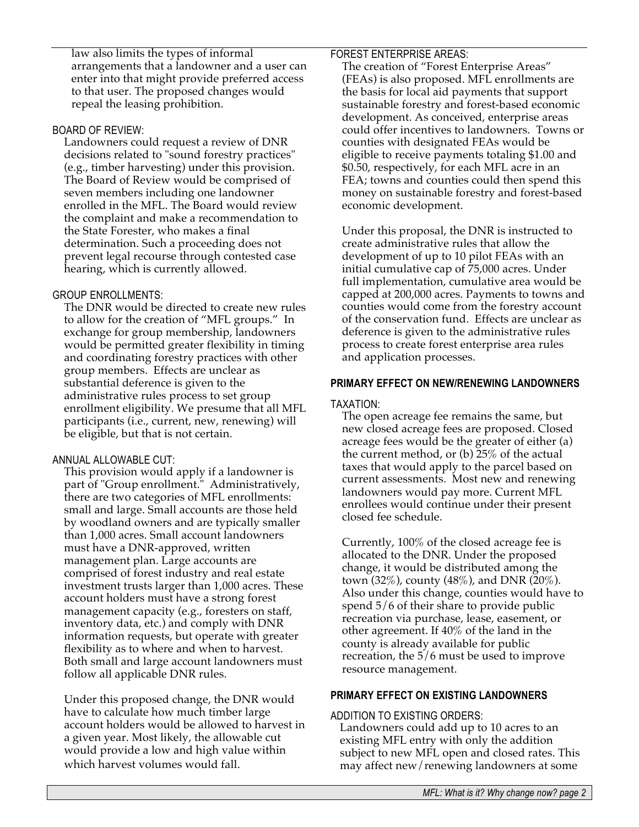law also limits the types of informal arrangements that a landowner and a user can enter into that might provide preferred access to that user. The proposed changes would repeal the leasing prohibition.

#### BOARD OF REVIEW:

Landowners could request a review of DNR decisions related to "sound forestry practices" (e.g., timber harvesting) under this provision. The Board of Review would be comprised of seven members including one landowner enrolled in the MFL. The Board would review the complaint and make a recommendation to the State Forester, who makes a final determination. Such a proceeding does not prevent legal recourse through contested case hearing, which is currently allowed.

# GROUP ENROLLMENTS:

The DNR would be directed to create new rules to allow for the creation of "MFL groups." In exchange for group membership, landowners would be permitted greater flexibility in timing and coordinating forestry practices with other group members. Effects are unclear as substantial deference is given to the administrative rules process to set group enrollment eligibility. We presume that all MFL participants (i.e., current, new, renewing) will be eligible, but that is not certain.

#### ANNUAL ALLOWABLE CUT:

This provision would apply if a landowner is part of "Group enrollment." Administratively, there are two categories of MFL enrollments: small and large. Small accounts are those held by woodland owners and are typically smaller than 1,000 acres. Small account landowners must have a DNR-approved, written management plan. Large accounts are comprised of forest industry and real estate investment trusts larger than 1,000 acres. These account holders must have a strong forest management capacity (e.g., foresters on staff, inventory data, etc.) and comply with DNR information requests, but operate with greater flexibility as to where and when to harvest. Both small and large account landowners must follow all applicable DNR rules.

Under this proposed change, the DNR would have to calculate how much timber large account holders would be allowed to harvest in a given year. Most likely, the allowable cut would provide a low and high value within which harvest volumes would fall.

#### FOREST ENTERPRISE AREAS:

The creation of "Forest Enterprise Areas" (FEAs) is also proposed. MFL enrollments are the basis for local aid payments that support sustainable forestry and forest-based economic development. As conceived, enterprise areas could offer incentives to landowners. Towns or counties with designated FEAs would be eligible to receive payments totaling \$1.00 and \$0.50, respectively, for each MFL acre in an FEA; towns and counties could then spend this money on sustainable forestry and forest-based economic development.

Under this proposal, the DNR is instructed to create administrative rules that allow the development of up to 10 pilot FEAs with an initial cumulative cap of 75,000 acres. Under full implementation, cumulative area would be capped at 200,000 acres. Payments to towns and counties would come from the forestry account of the conservation fund. Effects are unclear as deference is given to the administrative rules process to create forest enterprise area rules and application processes.

# **PRIMARY EFFECT ON NEW/RENEWING LANDOWNERS**

#### TAXATION:

The open acreage fee remains the same, but new closed acreage fees are proposed. Closed acreage fees would be the greater of either (a) the current method, or (b) 25% of the actual taxes that would apply to the parcel based on current assessments. Most new and renewing landowners would pay more. Current MFL enrollees would continue under their present closed fee schedule.

Currently, 100% of the closed acreage fee is allocated to the DNR. Under the proposed change, it would be distributed among the town (32%), county (48%), and DNR (20%). Also under this change, counties would have to spend 5/6 of their share to provide public recreation via purchase, lease, easement, or other agreement. If 40% of the land in the county is already available for public recreation, the 5/6 must be used to improve resource management.

#### **PRIMARY EFFECT ON EXISTING LANDOWNERS**

#### ADDITION TO EXISTING ORDERS:

Landowners could add up to 10 acres to an existing MFL entry with only the addition subject to new MFL open and closed rates. This may affect new/renewing landowners at some